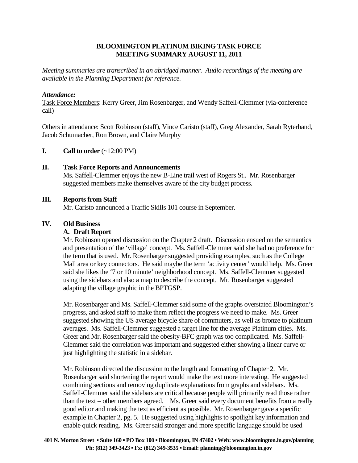# **BLOOMINGTON PLATINUM BIKING TASK FORCE MEETING SUMMARY AUGUST 11, 2011**

*Meeting summaries are transcribed in an abridged manner. Audio recordings of the meeting are available in the Planning Department for reference.*

## *Attendance:*

Task Force Members: Kerry Greer, Jim Rosenbarger, and Wendy Saffell-Clemmer (via-conference call)

Others in attendance: Scott Robinson (staff), Vince Caristo (staff), Greg Alexander, Sarah Ryterband, Jacob Schumacher, Ron Brown, and Claire Murphy

## **I.** Call to order  $(\sim 12:00 \text{ PM})$

## **II. Task Force Reports and Announcements**

 Ms. Saffell-Clemmer enjoys the new B-Line trail west of Rogers St.. Mr. Rosenbarger suggested members make themselves aware of the city budget process.

## **III. Reports from Staff**

Mr. Caristo announced a Traffic Skills 101 course in September.

## **IV. Old Business**

### **A. Draft Report**

Mr. Robinson opened discussion on the Chapter 2 draft. Discussion ensued on the semantics and presentation of the 'village' concept. Ms. Saffell-Clemmer said she had no preference for the term that is used. Mr. Rosenbarger suggested providing examples, such as the College Mall area or key connectors. He said maybe the term 'activity center' would help. Ms. Greer said she likes the '7 or 10 minute' neighborhood concept. Ms. Saffell-Clemmer suggested using the sidebars and also a map to describe the concept. Mr. Rosenbarger suggested adapting the village graphic in the BPTGSP.

Mr. Rosenbarger and Ms. Saffell-Clemmer said some of the graphs overstated Bloomington's progress, and asked staff to make them reflect the progress we need to make. Ms. Greer suggested showing the US average bicycle share of commuters, as well as bronze to platinum averages. Ms. Saffell-Clemmer suggested a target line for the average Platinum cities. Ms. Greer and Mr. Rosenbarger said the obesity-BFC graph was too complicated. Ms. Saffell-Clemmer said the correlation was important and suggested either showing a linear curve or just highlighting the statistic in a sidebar.

Mr. Robinson directed the discussion to the length and formatting of Chapter 2. Mr. Rosenbarger said shortening the report would make the text more interesting. He suggested combining sections and removing duplicate explanations from graphs and sidebars. Ms. Saffell-Clemmer said the sidebars are critical because people will primarily read those rather than the text – other members agreed. Ms. Greer said every document benefits from a really good editor and making the text as efficient as possible. Mr. Rosenbarger gave a specific example in Chapter 2, pg. 5. He suggested using highlights to spotlight key information and enable quick reading. Ms. Greer said stronger and more specific language should be used